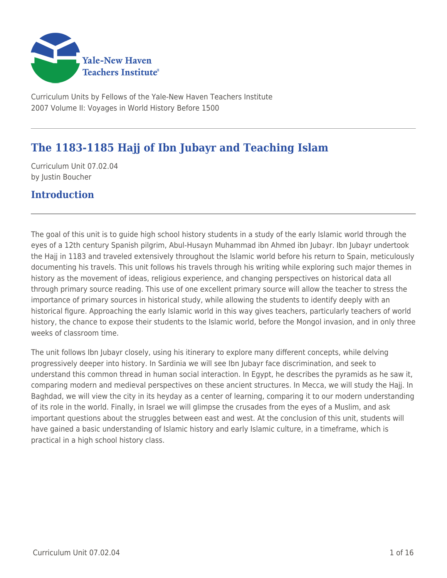

Curriculum Units by Fellows of the Yale-New Haven Teachers Institute 2007 Volume II: Voyages in World History Before 1500

# **The 1183-1185 Hajj of Ibn Jubayr and Teaching Islam**

Curriculum Unit 07.02.04 by Justin Boucher

### **Introduction**

The goal of this unit is to guide high school history students in a study of the early Islamic world through the eyes of a 12th century Spanish pilgrim, Abul-Husayn Muhammad ibn Ahmed ibn Jubayr. Ibn Jubayr undertook the Hajj in 1183 and traveled extensively throughout the Islamic world before his return to Spain, meticulously documenting his travels. This unit follows his travels through his writing while exploring such major themes in history as the movement of ideas, religious experience, and changing perspectives on historical data all through primary source reading. This use of one excellent primary source will allow the teacher to stress the importance of primary sources in historical study, while allowing the students to identify deeply with an historical figure. Approaching the early Islamic world in this way gives teachers, particularly teachers of world history, the chance to expose their students to the Islamic world, before the Mongol invasion, and in only three weeks of classroom time.

The unit follows Ibn Jubayr closely, using his itinerary to explore many different concepts, while delving progressively deeper into history. In Sardinia we will see Ibn Jubayr face discrimination, and seek to understand this common thread in human social interaction. In Egypt, he describes the pyramids as he saw it, comparing modern and medieval perspectives on these ancient structures. In Mecca, we will study the Hajj. In Baghdad, we will view the city in its heyday as a center of learning, comparing it to our modern understanding of its role in the world. Finally, in Israel we will glimpse the crusades from the eyes of a Muslim, and ask important questions about the struggles between east and west. At the conclusion of this unit, students will have gained a basic understanding of Islamic history and early Islamic culture, in a timeframe, which is practical in a high school history class.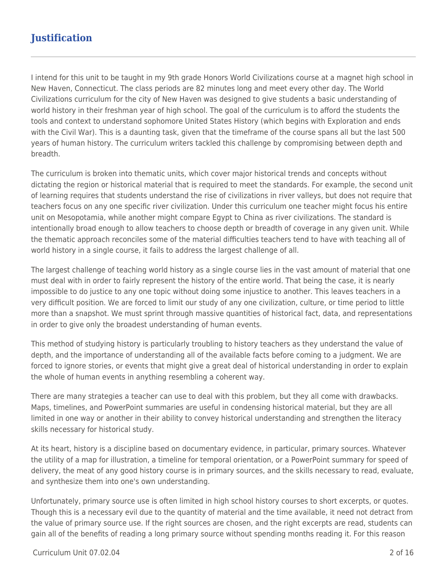## **Justification**

I intend for this unit to be taught in my 9th grade Honors World Civilizations course at a magnet high school in New Haven, Connecticut. The class periods are 82 minutes long and meet every other day. The World Civilizations curriculum for the city of New Haven was designed to give students a basic understanding of world history in their freshman year of high school. The goal of the curriculum is to afford the students the tools and context to understand sophomore United States History (which begins with Exploration and ends with the Civil War). This is a daunting task, given that the timeframe of the course spans all but the last 500 years of human history. The curriculum writers tackled this challenge by compromising between depth and breadth.

The curriculum is broken into thematic units, which cover major historical trends and concepts without dictating the region or historical material that is required to meet the standards. For example, the second unit of learning requires that students understand the rise of civilizations in river valleys, but does not require that teachers focus on any one specific river civilization. Under this curriculum one teacher might focus his entire unit on Mesopotamia, while another might compare Egypt to China as river civilizations. The standard is intentionally broad enough to allow teachers to choose depth or breadth of coverage in any given unit. While the thematic approach reconciles some of the material difficulties teachers tend to have with teaching all of world history in a single course, it fails to address the largest challenge of all.

The largest challenge of teaching world history as a single course lies in the vast amount of material that one must deal with in order to fairly represent the history of the entire world. That being the case, it is nearly impossible to do justice to any one topic without doing some injustice to another. This leaves teachers in a very difficult position. We are forced to limit our study of any one civilization, culture, or time period to little more than a snapshot. We must sprint through massive quantities of historical fact, data, and representations in order to give only the broadest understanding of human events.

This method of studying history is particularly troubling to history teachers as they understand the value of depth, and the importance of understanding all of the available facts before coming to a judgment. We are forced to ignore stories, or events that might give a great deal of historical understanding in order to explain the whole of human events in anything resembling a coherent way.

There are many strategies a teacher can use to deal with this problem, but they all come with drawbacks. Maps, timelines, and PowerPoint summaries are useful in condensing historical material, but they are all limited in one way or another in their ability to convey historical understanding and strengthen the literacy skills necessary for historical study.

At its heart, history is a discipline based on documentary evidence, in particular, primary sources. Whatever the utility of a map for illustration, a timeline for temporal orientation, or a PowerPoint summary for speed of delivery, the meat of any good history course is in primary sources, and the skills necessary to read, evaluate, and synthesize them into one's own understanding.

Unfortunately, primary source use is often limited in high school history courses to short excerpts, or quotes. Though this is a necessary evil due to the quantity of material and the time available, it need not detract from the value of primary source use. If the right sources are chosen, and the right excerpts are read, students can gain all of the benefits of reading a long primary source without spending months reading it. For this reason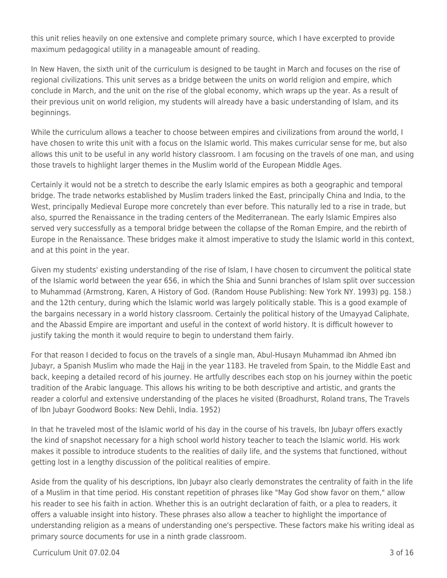this unit relies heavily on one extensive and complete primary source, which I have excerpted to provide maximum pedagogical utility in a manageable amount of reading.

In New Haven, the sixth unit of the curriculum is designed to be taught in March and focuses on the rise of regional civilizations. This unit serves as a bridge between the units on world religion and empire, which conclude in March, and the unit on the rise of the global economy, which wraps up the year. As a result of their previous unit on world religion, my students will already have a basic understanding of Islam, and its beginnings.

While the curriculum allows a teacher to choose between empires and civilizations from around the world, I have chosen to write this unit with a focus on the Islamic world. This makes curricular sense for me, but also allows this unit to be useful in any world history classroom. I am focusing on the travels of one man, and using those travels to highlight larger themes in the Muslim world of the European Middle Ages.

Certainly it would not be a stretch to describe the early Islamic empires as both a geographic and temporal bridge. The trade networks established by Muslim traders linked the East, principally China and India, to the West, principally Medieval Europe more concretely than ever before. This naturally led to a rise in trade, but also, spurred the Renaissance in the trading centers of the Mediterranean. The early Islamic Empires also served very successfully as a temporal bridge between the collapse of the Roman Empire, and the rebirth of Europe in the Renaissance. These bridges make it almost imperative to study the Islamic world in this context, and at this point in the year.

Given my students' existing understanding of the rise of Islam, I have chosen to circumvent the political state of the Islamic world between the year 656, in which the Shia and Sunni branches of Islam split over succession to Muhammad (Armstrong, Karen, A History of God. (Random House Publishing: New York NY. 1993) pg. 158.) and the 12th century, during which the Islamic world was largely politically stable. This is a good example of the bargains necessary in a world history classroom. Certainly the political history of the Umayyad Caliphate, and the Abassid Empire are important and useful in the context of world history. It is difficult however to justify taking the month it would require to begin to understand them fairly.

For that reason I decided to focus on the travels of a single man, Abul-Husayn Muhammad ibn Ahmed ibn Jubayr, a Spanish Muslim who made the Hajj in the year 1183. He traveled from Spain, to the Middle East and back, keeping a detailed record of his journey. He artfully describes each stop on his journey within the poetic tradition of the Arabic language. This allows his writing to be both descriptive and artistic, and grants the reader a colorful and extensive understanding of the places he visited (Broadhurst, Roland trans, The Travels of Ibn Jubayr Goodword Books: New Dehli, India. 1952)

In that he traveled most of the Islamic world of his day in the course of his travels, Ibn Jubayr offers exactly the kind of snapshot necessary for a high school world history teacher to teach the Islamic world. His work makes it possible to introduce students to the realities of daily life, and the systems that functioned, without getting lost in a lengthy discussion of the political realities of empire.

Aside from the quality of his descriptions, Ibn Jubayr also clearly demonstrates the centrality of faith in the life of a Muslim in that time period. His constant repetition of phrases like "May God show favor on them," allow his reader to see his faith in action. Whether this is an outright declaration of faith, or a plea to readers, it offers a valuable insight into history. These phrases also allow a teacher to highlight the importance of understanding religion as a means of understanding one's perspective. These factors make his writing ideal as primary source documents for use in a ninth grade classroom.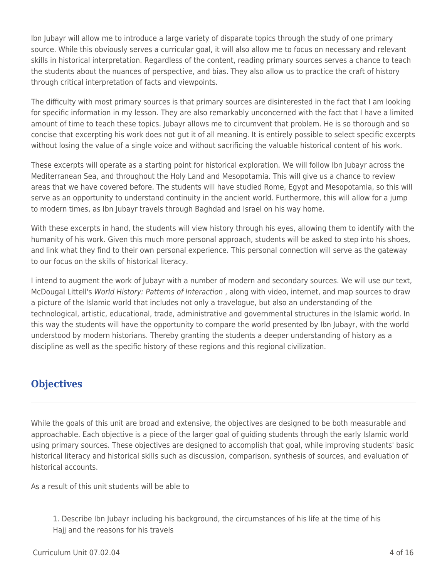Ibn Jubayr will allow me to introduce a large variety of disparate topics through the study of one primary source. While this obviously serves a curricular goal, it will also allow me to focus on necessary and relevant skills in historical interpretation. Regardless of the content, reading primary sources serves a chance to teach the students about the nuances of perspective, and bias. They also allow us to practice the craft of history through critical interpretation of facts and viewpoints.

The difficulty with most primary sources is that primary sources are disinterested in the fact that I am looking for specific information in my lesson. They are also remarkably unconcerned with the fact that I have a limited amount of time to teach these topics. Jubayr allows me to circumvent that problem. He is so thorough and so concise that excerpting his work does not gut it of all meaning. It is entirely possible to select specific excerpts without losing the value of a single voice and without sacrificing the valuable historical content of his work.

These excerpts will operate as a starting point for historical exploration. We will follow Ibn Jubayr across the Mediterranean Sea, and throughout the Holy Land and Mesopotamia. This will give us a chance to review areas that we have covered before. The students will have studied Rome, Egypt and Mesopotamia, so this will serve as an opportunity to understand continuity in the ancient world. Furthermore, this will allow for a jump to modern times, as Ibn Jubayr travels through Baghdad and Israel on his way home.

With these excerpts in hand, the students will view history through his eyes, allowing them to identify with the humanity of his work. Given this much more personal approach, students will be asked to step into his shoes, and link what they find to their own personal experience. This personal connection will serve as the gateway to our focus on the skills of historical literacy.

I intend to augment the work of Jubayr with a number of modern and secondary sources. We will use our text, McDougal Littell's World History: Patterns of Interaction, along with video, internet, and map sources to draw a picture of the Islamic world that includes not only a travelogue, but also an understanding of the technological, artistic, educational, trade, administrative and governmental structures in the Islamic world. In this way the students will have the opportunity to compare the world presented by Ibn Jubayr, with the world understood by modern historians. Thereby granting the students a deeper understanding of history as a discipline as well as the specific history of these regions and this regional civilization.

### **Objectives**

While the goals of this unit are broad and extensive, the objectives are designed to be both measurable and approachable. Each objective is a piece of the larger goal of guiding students through the early Islamic world using primary sources. These objectives are designed to accomplish that goal, while improving students' basic historical literacy and historical skills such as discussion, comparison, synthesis of sources, and evaluation of historical accounts.

As a result of this unit students will be able to

1. Describe Ibn Jubayr including his background, the circumstances of his life at the time of his Hajj and the reasons for his travels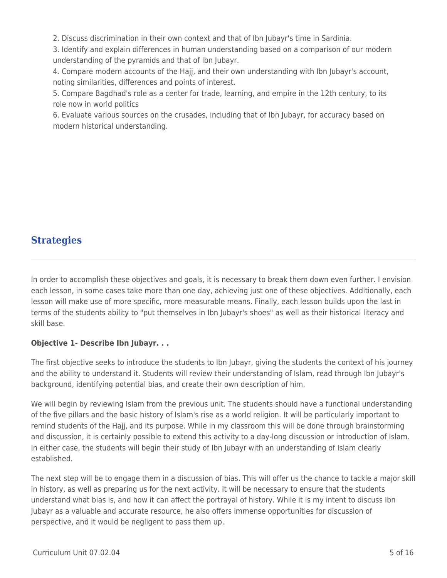2. Discuss discrimination in their own context and that of Ibn Jubayr's time in Sardinia.

3. Identify and explain differences in human understanding based on a comparison of our modern understanding of the pyramids and that of Ibn Jubayr.

4. Compare modern accounts of the Hajj, and their own understanding with Ibn Jubayr's account, noting similarities, differences and points of interest.

5. Compare Bagdhad's role as a center for trade, learning, and empire in the 12th century, to its role now in world politics

6. Evaluate various sources on the crusades, including that of Ibn Jubayr, for accuracy based on modern historical understanding.

## **Strategies**

In order to accomplish these objectives and goals, it is necessary to break them down even further. I envision each lesson, in some cases take more than one day, achieving just one of these objectives. Additionally, each lesson will make use of more specific, more measurable means. Finally, each lesson builds upon the last in terms of the students ability to "put themselves in Ibn Jubayr's shoes" as well as their historical literacy and skill base.

### **Objective 1- Describe Ibn Jubayr. . .**

The first objective seeks to introduce the students to Ibn Jubayr, giving the students the context of his journey and the ability to understand it. Students will review their understanding of Islam, read through Ibn Jubayr's background, identifying potential bias, and create their own description of him.

We will begin by reviewing Islam from the previous unit. The students should have a functional understanding of the five pillars and the basic history of Islam's rise as a world religion. It will be particularly important to remind students of the Hajj, and its purpose. While in my classroom this will be done through brainstorming and discussion, it is certainly possible to extend this activity to a day-long discussion or introduction of Islam. In either case, the students will begin their study of Ibn Jubayr with an understanding of Islam clearly established.

The next step will be to engage them in a discussion of bias. This will offer us the chance to tackle a major skill in history, as well as preparing us for the next activity. It will be necessary to ensure that the students understand what bias is, and how it can affect the portrayal of history. While it is my intent to discuss Ibn Jubayr as a valuable and accurate resource, he also offers immense opportunities for discussion of perspective, and it would be negligent to pass them up.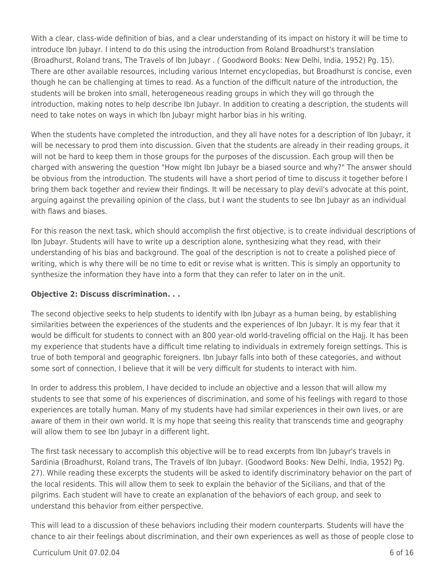With a clear, class-wide definition of bias, and a clear understanding of its impact on history it will be time to introduce Ibn Jubayr. I intend to do this using the introduction from Roland Broadhurst's translation (Broadhurst, Roland trans, The Travels of Ibn Jubayr . ( Goodword Books: New Delhi, India, 1952) Pg. 15). There are other available resources, including various Internet encyclopedias, but Broadhurst is concise, even though he can be challenging at times to read. As a function of the difficult nature of the introduction, the students will be broken into small, heterogeneous reading groups in which they will go through the introduction, making notes to help describe Ibn Jubayr. In addition to creating a description, the students will need to take notes on ways in which Ibn Jubayr might harbor bias in his writing.

When the students have completed the introduction, and they all have notes for a description of Ibn Jubayr, it will be necessary to prod them into discussion. Given that the students are already in their reading groups, it will not be hard to keep them in those groups for the purposes of the discussion. Each group will then be charged with answering the question "How might Ibn Jubayr be a biased source and why?" The answer should be obvious from the introduction. The students will have a short period of time to discuss it together before I bring them back together and review their findings. It will be necessary to play devil's advocate at this point, arguing against the prevailing opinion of the class, but I want the students to see Ibn Jubayr as an individual with flaws and biases.

For this reason the next task, which should accomplish the first objective, is to create individual descriptions of Ibn Jubayr. Students will have to write up a description alone, synthesizing what they read, with their understanding of his bias and background. The goal of the description is not to create a polished piece of writing, which is why there will be no time to edit or revise what is written. This is simply an opportunity to synthesize the information they have into a form that they can refer to later on in the unit.

#### **Objective 2: Discuss discrimination. . .**

The second objective seeks to help students to identify with Ibn Jubayr as a human being, by establishing similarities between the experiences of the students and the experiences of Ibn Jubayr. It is my fear that it would be difficult for students to connect with an 800 year-old world-traveling official on the Hajj. It has been my experience that students have a difficult time relating to individuals in extremely foreign settings. This is true of both temporal and geographic foreigners. Ibn Jubayr falls into both of these categories, and without some sort of connection, I believe that it will be very difficult for students to interact with him.

In order to address this problem, I have decided to include an objective and a lesson that will allow my students to see that some of his experiences of discrimination, and some of his feelings with regard to those experiences are totally human. Many of my students have had similar experiences in their own lives, or are aware of them in their own world. It is my hope that seeing this reality that transcends time and geography will allow them to see Ibn Jubayr in a different light.

The first task necessary to accomplish this objective will be to read excerpts from Ibn Jubayr's travels in Sardinia (Broadhurst, Roland trans, The Travels of Ibn Jubayr. (Goodword Books: New Delhi, India, 1952) Pg. 27). While reading these excerpts the students will be asked to identify discriminatory behavior on the part of the local residents. This will allow them to seek to explain the behavior of the Sicilians, and that of the pilgrims. Each student will have to create an explanation of the behaviors of each group, and seek to understand this behavior from either perspective.

This will lead to a discussion of these behaviors including their modern counterparts. Students will have the chance to air their feelings about discrimination, and their own experiences as well as those of people close to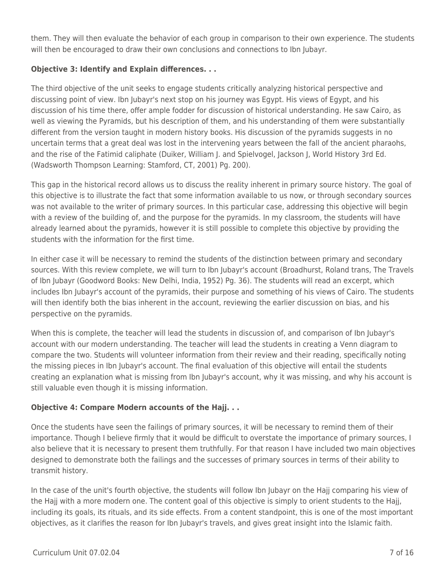them. They will then evaluate the behavior of each group in comparison to their own experience. The students will then be encouraged to draw their own conclusions and connections to Ibn Jubayr.

### **Objective 3: Identify and Explain differences. . .**

The third objective of the unit seeks to engage students critically analyzing historical perspective and discussing point of view. Ibn Jubayr's next stop on his journey was Egypt. His views of Egypt, and his discussion of his time there, offer ample fodder for discussion of historical understanding. He saw Cairo, as well as viewing the Pyramids, but his description of them, and his understanding of them were substantially different from the version taught in modern history books. His discussion of the pyramids suggests in no uncertain terms that a great deal was lost in the intervening years between the fall of the ancient pharaohs, and the rise of the Fatimid caliphate (Duiker, William J. and Spielvogel, Jackson J, World History 3rd Ed. (Wadsworth Thompson Learning: Stamford, CT, 2001) Pg. 200).

This gap in the historical record allows us to discuss the reality inherent in primary source history. The goal of this objective is to illustrate the fact that some information available to us now, or through secondary sources was not available to the writer of primary sources. In this particular case, addressing this objective will begin with a review of the building of, and the purpose for the pyramids. In my classroom, the students will have already learned about the pyramids, however it is still possible to complete this objective by providing the students with the information for the first time.

In either case it will be necessary to remind the students of the distinction between primary and secondary sources. With this review complete, we will turn to Ibn Jubayr's account (Broadhurst, Roland trans, The Travels of Ibn Jubayr (Goodword Books: New Delhi, India, 1952) Pg. 36). The students will read an excerpt, which includes Ibn Jubayr's account of the pyramids, their purpose and something of his views of Cairo. The students will then identify both the bias inherent in the account, reviewing the earlier discussion on bias, and his perspective on the pyramids.

When this is complete, the teacher will lead the students in discussion of, and comparison of Ibn Jubayr's account with our modern understanding. The teacher will lead the students in creating a Venn diagram to compare the two. Students will volunteer information from their review and their reading, specifically noting the missing pieces in Ibn Jubayr's account. The final evaluation of this objective will entail the students creating an explanation what is missing from Ibn Jubayr's account, why it was missing, and why his account is still valuable even though it is missing information.

### **Objective 4: Compare Modern accounts of the Hajj. . .**

Once the students have seen the failings of primary sources, it will be necessary to remind them of their importance. Though I believe firmly that it would be difficult to overstate the importance of primary sources, I also believe that it is necessary to present them truthfully. For that reason I have included two main objectives designed to demonstrate both the failings and the successes of primary sources in terms of their ability to transmit history.

In the case of the unit's fourth objective, the students will follow Ibn Jubayr on the Hajj comparing his view of the Hajj with a more modern one. The content goal of this objective is simply to orient students to the Hajj, including its goals, its rituals, and its side effects. From a content standpoint, this is one of the most important objectives, as it clarifies the reason for Ibn Jubayr's travels, and gives great insight into the Islamic faith.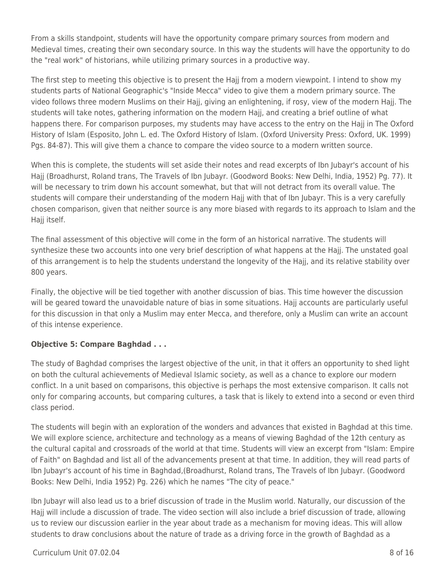From a skills standpoint, students will have the opportunity compare primary sources from modern and Medieval times, creating their own secondary source. In this way the students will have the opportunity to do the "real work" of historians, while utilizing primary sources in a productive way.

The first step to meeting this objective is to present the Hajj from a modern viewpoint. I intend to show my students parts of National Geographic's "Inside Mecca" video to give them a modern primary source. The video follows three modern Muslims on their Hajj, giving an enlightening, if rosy, view of the modern Hajj. The students will take notes, gathering information on the modern Hajj, and creating a brief outline of what happens there. For comparison purposes, my students may have access to the entry on the Hajj in The Oxford History of Islam (Esposito, John L. ed. The Oxford History of Islam. (Oxford University Press: Oxford, UK. 1999) Pgs. 84-87). This will give them a chance to compare the video source to a modern written source.

When this is complete, the students will set aside their notes and read excerpts of Ibn Jubayr's account of his Hajj (Broadhurst, Roland trans, The Travels of Ibn Jubayr. (Goodword Books: New Delhi, India, 1952) Pg. 77). It will be necessary to trim down his account somewhat, but that will not detract from its overall value. The students will compare their understanding of the modern Hajj with that of Ibn Jubayr. This is a very carefully chosen comparison, given that neither source is any more biased with regards to its approach to Islam and the Hajj itself.

The final assessment of this objective will come in the form of an historical narrative. The students will synthesize these two accounts into one very brief description of what happens at the Hajj. The unstated goal of this arrangement is to help the students understand the longevity of the Hajj, and its relative stability over 800 years.

Finally, the objective will be tied together with another discussion of bias. This time however the discussion will be geared toward the unavoidable nature of bias in some situations. Hajj accounts are particularly useful for this discussion in that only a Muslim may enter Mecca, and therefore, only a Muslim can write an account of this intense experience.

#### **Objective 5: Compare Baghdad . . .**

The study of Baghdad comprises the largest objective of the unit, in that it offers an opportunity to shed light on both the cultural achievements of Medieval Islamic society, as well as a chance to explore our modern conflict. In a unit based on comparisons, this objective is perhaps the most extensive comparison. It calls not only for comparing accounts, but comparing cultures, a task that is likely to extend into a second or even third class period.

The students will begin with an exploration of the wonders and advances that existed in Baghdad at this time. We will explore science, architecture and technology as a means of viewing Baghdad of the 12th century as the cultural capital and crossroads of the world at that time. Students will view an excerpt from "Islam: Empire of Faith" on Baghdad and list all of the advancements present at that time. In addition, they will read parts of Ibn Jubayr's account of his time in Baghdad,(Broadhurst, Roland trans, The Travels of Ibn Jubayr. (Goodword Books: New Delhi, India 1952) Pg. 226) which he names "The city of peace."

Ibn Jubayr will also lead us to a brief discussion of trade in the Muslim world. Naturally, our discussion of the Hajj will include a discussion of trade. The video section will also include a brief discussion of trade, allowing us to review our discussion earlier in the year about trade as a mechanism for moving ideas. This will allow students to draw conclusions about the nature of trade as a driving force in the growth of Baghdad as a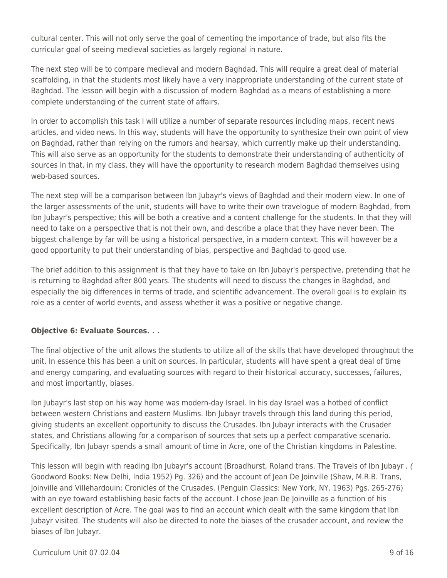cultural center. This will not only serve the goal of cementing the importance of trade, but also fits the curricular goal of seeing medieval societies as largely regional in nature.

The next step will be to compare medieval and modern Baghdad. This will require a great deal of material scaffolding, in that the students most likely have a very inappropriate understanding of the current state of Baghdad. The lesson will begin with a discussion of modern Baghdad as a means of establishing a more complete understanding of the current state of affairs.

In order to accomplish this task I will utilize a number of separate resources including maps, recent news articles, and video news. In this way, students will have the opportunity to synthesize their own point of view on Baghdad, rather than relying on the rumors and hearsay, which currently make up their understanding. This will also serve as an opportunity for the students to demonstrate their understanding of authenticity of sources in that, in my class, they will have the opportunity to research modern Baghdad themselves using web-based sources.

The next step will be a comparison between Ibn Jubayr's views of Baghdad and their modern view. In one of the larger assessments of the unit, students will have to write their own travelogue of modern Baghdad, from Ibn Jubayr's perspective; this will be both a creative and a content challenge for the students. In that they will need to take on a perspective that is not their own, and describe a place that they have never been. The biggest challenge by far will be using a historical perspective, in a modern context. This will however be a good opportunity to put their understanding of bias, perspective and Baghdad to good use.

The brief addition to this assignment is that they have to take on Ibn Jubayr's perspective, pretending that he is returning to Baghdad after 800 years. The students will need to discuss the changes in Baghdad, and especially the big differences in terms of trade, and scientific advancement. The overall goal is to explain its role as a center of world events, and assess whether it was a positive or negative change.

#### **Objective 6: Evaluate Sources. . .**

The final objective of the unit allows the students to utilize all of the skills that have developed throughout the unit. In essence this has been a unit on sources. In particular, students will have spent a great deal of time and energy comparing, and evaluating sources with regard to their historical accuracy, successes, failures, and most importantly, biases.

Ibn Jubayr's last stop on his way home was modern-day Israel. In his day Israel was a hotbed of conflict between western Christians and eastern Muslims. Ibn Jubayr travels through this land during this period, giving students an excellent opportunity to discuss the Crusades. Ibn Jubayr interacts with the Crusader states, and Christians allowing for a comparison of sources that sets up a perfect comparative scenario. Specifically, Ibn Jubayr spends a small amount of time in Acre, one of the Christian kingdoms in Palestine.

This lesson will begin with reading Ibn Jubayr's account (Broadhurst, Roland trans. The Travels of Ibn Jubayr . ( Goodword Books: New Delhi, India 1952) Pg. 326) and the account of Jean De Joinville (Shaw, M.R.B. Trans, Joinville and Villehardouin: Cronicles of the Crusades. (Penguin Classics: New York, NY. 1963) Pgs. 265-276) with an eye toward establishing basic facts of the account. I chose Jean De Joinville as a function of his excellent description of Acre. The goal was to find an account which dealt with the same kingdom that Ibn Jubayr visited. The students will also be directed to note the biases of the crusader account, and review the biases of Ibn Jubayr.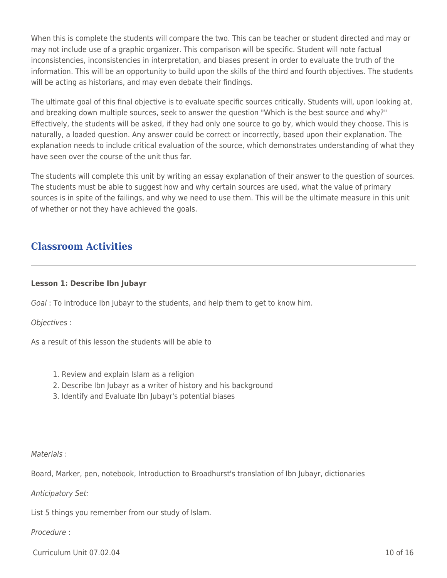When this is complete the students will compare the two. This can be teacher or student directed and may or may not include use of a graphic organizer. This comparison will be specific. Student will note factual inconsistencies, inconsistencies in interpretation, and biases present in order to evaluate the truth of the information. This will be an opportunity to build upon the skills of the third and fourth objectives. The students will be acting as historians, and may even debate their findings.

The ultimate goal of this final objective is to evaluate specific sources critically. Students will, upon looking at, and breaking down multiple sources, seek to answer the question "Which is the best source and why?" Effectively, the students will be asked, if they had only one source to go by, which would they choose. This is naturally, a loaded question. Any answer could be correct or incorrectly, based upon their explanation. The explanation needs to include critical evaluation of the source, which demonstrates understanding of what they have seen over the course of the unit thus far.

The students will complete this unit by writing an essay explanation of their answer to the question of sources. The students must be able to suggest how and why certain sources are used, what the value of primary sources is in spite of the failings, and why we need to use them. This will be the ultimate measure in this unit of whether or not they have achieved the goals.

## **Classroom Activities**

#### **Lesson 1: Describe Ibn Jubayr**

Goal : To introduce Ibn Jubayr to the students, and help them to get to know him.

Objectives :

As a result of this lesson the students will be able to

- 1. Review and explain Islam as a religion
- 2. Describe Ibn Jubayr as a writer of history and his background
- 3. Identify and Evaluate Ibn Jubayr's potential biases

#### Materials :

Board, Marker, pen, notebook, Introduction to Broadhurst's translation of Ibn Jubayr, dictionaries

Anticipatory Set:

List 5 things you remember from our study of Islam.

Procedure :

Curriculum Unit 07.02.04 10 of 16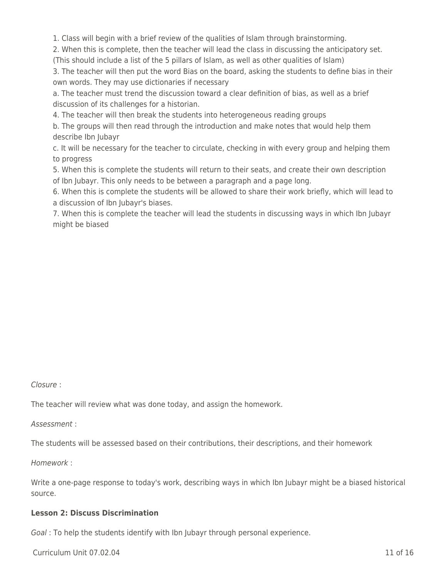1. Class will begin with a brief review of the qualities of Islam through brainstorming.

2. When this is complete, then the teacher will lead the class in discussing the anticipatory set.

(This should include a list of the 5 pillars of Islam, as well as other qualities of Islam)

3. The teacher will then put the word Bias on the board, asking the students to define bias in their own words. They may use dictionaries if necessary

a. The teacher must trend the discussion toward a clear definition of bias, as well as a brief discussion of its challenges for a historian.

4. The teacher will then break the students into heterogeneous reading groups

b. The groups will then read through the introduction and make notes that would help them describe Ibn Jubayr

c. It will be necessary for the teacher to circulate, checking in with every group and helping them to progress

5. When this is complete the students will return to their seats, and create their own description of Ibn Jubayr. This only needs to be between a paragraph and a page long.

6. When this is complete the students will be allowed to share their work briefly, which will lead to a discussion of Ibn Jubayr's biases.

7. When this is complete the teacher will lead the students in discussing ways in which Ibn Jubayr might be biased

Closure :

The teacher will review what was done today, and assign the homework.

Assessment :

The students will be assessed based on their contributions, their descriptions, and their homework

Homework :

Write a one-page response to today's work, describing ways in which Ibn Jubayr might be a biased historical source.

#### **Lesson 2: Discuss Discrimination**

Goal : To help the students identify with Ibn Jubayr through personal experience.

Curriculum Unit 07.02.04 11 of 16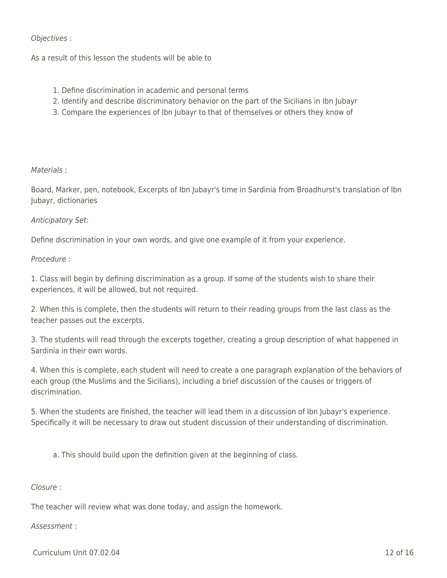#### Objectives :

As a result of this lesson the students will be able to

- 1. Define discrimination in academic and personal terms
- 2. Identify and describe discriminatory behavior on the part of the Sicilians in Ibn Jubayr
- 3. Compare the experiences of Ibn Jubayr to that of themselves or others they know of

#### Materials :

Board, Marker, pen, notebook, Excerpts of Ibn Jubayr's time in Sardinia from Broadhurst's translation of Ibn Jubayr, dictionaries

#### Anticipatory Set:

Define discrimination in your own words, and give one example of it from your experience.

#### Procedure :

1. Class will begin by defining discrimination as a group. If some of the students wish to share their experiences, it will be allowed, but not required.

2. When this is complete, then the students will return to their reading groups from the last class as the teacher passes out the excerpts.

3. The students will read through the excerpts together, creating a group description of what happened in Sardinia in their own words.

4. When this is complete, each student will need to create a one paragraph explanation of the behaviors of each group (the Muslims and the Sicilians), including a brief discussion of the causes or triggers of discrimination.

5. When the students are finished, the teacher will lead them in a discussion of Ibn Jubayr's experience. Specifically it will be necessary to draw out student discussion of their understanding of discrimination.

a. This should build upon the definition given at the beginning of class.

#### Closure :

The teacher will review what was done today, and assign the homework.

#### Assessment :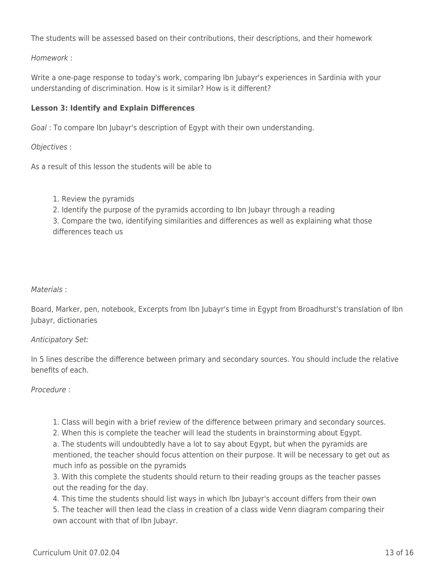The students will be assessed based on their contributions, their descriptions, and their homework

Homework :

Write a one-page response to today's work, comparing Ibn Jubayr's experiences in Sardinia with your understanding of discrimination. How is it similar? How is it different?

### **Lesson 3: Identify and Explain Differences**

Goal : To compare Ibn Jubayr's description of Egypt with their own understanding.

Objectives :

As a result of this lesson the students will be able to

- 1. Review the pyramids
- 2. Identify the purpose of the pyramids according to Ibn Jubayr through a reading

3. Compare the two, identifying similarities and differences as well as explaining what those differences teach us

#### Materials :

Board, Marker, pen, notebook, Excerpts from Ibn Jubayr's time in Egypt from Broadhurst's translation of Ibn Jubayr, dictionaries

#### Anticipatory Set:

In 5 lines describe the difference between primary and secondary sources. You should include the relative benefits of each.

#### Procedure :

1. Class will begin with a brief review of the difference between primary and secondary sources.

2. When this is complete the teacher will lead the students in brainstorming about Egypt. a. The students will undoubtedly have a lot to say about Egypt, but when the pyramids are mentioned, the teacher should focus attention on their purpose. It will be necessary to get out as much info as possible on the pyramids

3. With this complete the students should return to their reading groups as the teacher passes out the reading for the day.

4. This time the students should list ways in which Ibn Jubayr's account differs from their own 5. The teacher will then lead the class in creation of a class wide Venn diagram comparing their own account with that of Ibn Jubayr.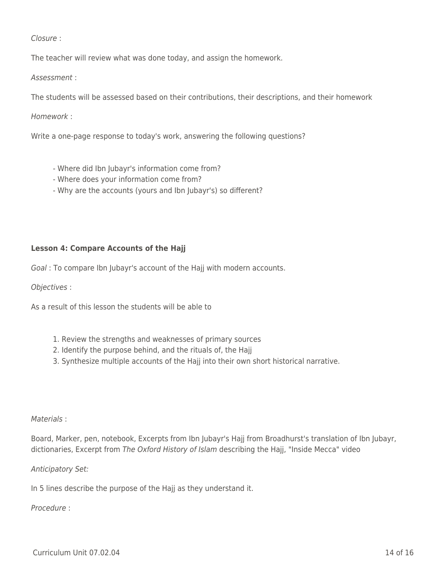Closure :

The teacher will review what was done today, and assign the homework.

Assessment :

The students will be assessed based on their contributions, their descriptions, and their homework

Homework :

Write a one-page response to today's work, answering the following questions?

- Where did Ibn Jubayr's information come from?
- Where does your information come from?
- Why are the accounts (yours and Ibn Jubayr's) so different?

#### **Lesson 4: Compare Accounts of the Hajj**

Goal : To compare Ibn Jubayr's account of the Hajj with modern accounts.

Objectives :

As a result of this lesson the students will be able to

- 1. Review the strengths and weaknesses of primary sources
- 2. Identify the purpose behind, and the rituals of, the Hajj
- 3. Synthesize multiple accounts of the Hajj into their own short historical narrative.

#### Materials :

Board, Marker, pen, notebook, Excerpts from Ibn Jubayr's Hajj from Broadhurst's translation of Ibn Jubayr, dictionaries, Excerpt from The Oxford History of Islam describing the Hajj, "Inside Mecca" video

#### Anticipatory Set:

In 5 lines describe the purpose of the Hajj as they understand it.

#### Procedure :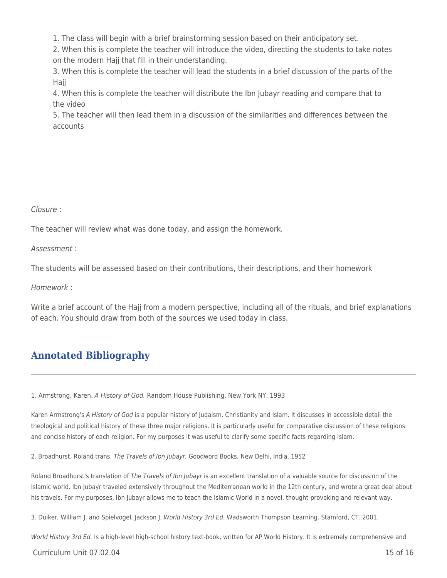1. The class will begin with a brief brainstorming session based on their anticipatory set.

2. When this is complete the teacher will introduce the video, directing the students to take notes on the modern Hajj that fill in their understanding.

3. When this is complete the teacher will lead the students in a brief discussion of the parts of the Haii

4. When this is complete the teacher will distribute the Ibn Jubayr reading and compare that to the video

5. The teacher will then lead them in a discussion of the similarities and differences between the accounts

#### Closure :

The teacher will review what was done today, and assign the homework.

Assessment :

The students will be assessed based on their contributions, their descriptions, and their homework

Homework :

Write a brief account of the Hajj from a modern perspective, including all of the rituals, and brief explanations of each. You should draw from both of the sources we used today in class.

## **Annotated Bibliography**

1. Armstrong, Karen. A History of God. Random House Publishing, New York NY. 1993

Karen Armstrong's A History of God is a popular history of Judaism, Christianity and Islam. It discusses in accessible detail the theological and political history of these three major religions. It is particularly useful for comparative discussion of these religions and concise history of each religion. For my purposes it was useful to clarify some specific facts regarding Islam.

2. Broadhurst, Roland trans. The Travels of Ibn Jubayr. Goodword Books, New Delhi, India. 1952

Roland Broadhurst's translation of The Travels of Ibn Jubayr is an excellent translation of a valuable source for discussion of the Islamic world. Ibn Jubayr traveled extensively throughout the Mediterranean world in the 12th century, and wrote a great deal about his travels. For my purposes, Ibn Jubayr allows me to teach the Islamic World in a novel, thought-provoking and relevant way.

3. Duiker, William J. and Spielvogel, Jackson J. World History 3rd Ed. Wadsworth Thompson Learning. Stamford, CT. 2001.

World History 3rd Ed. Is a high-level high-school history text-book, written for AP World History. It is extremely comprehensive and